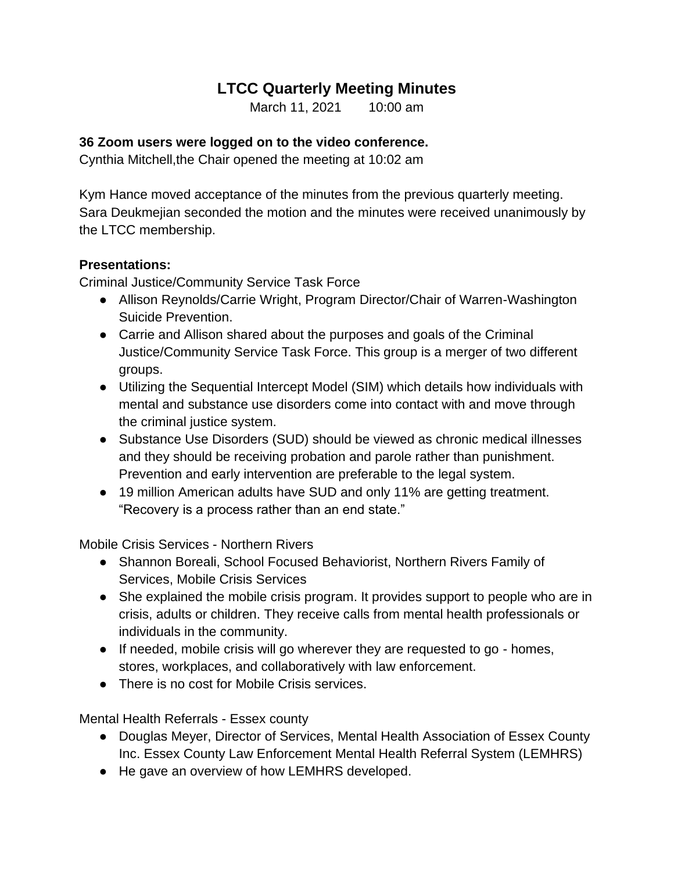## **LTCC Quarterly Meeting Minutes**

March 11, 2021 10:00 am

## **36 Zoom users were logged on to the video conference.**

Cynthia Mitchell,the Chair opened the meeting at 10:02 am

Kym Hance moved acceptance of the minutes from the previous quarterly meeting. Sara Deukmejian seconded the motion and the minutes were received unanimously by the LTCC membership.

## **Presentations:**

Criminal Justice/Community Service Task Force

- Allison Reynolds/Carrie Wright, Program Director/Chair of Warren-Washington Suicide Prevention.
- Carrie and Allison shared about the purposes and goals of the Criminal Justice/Community Service Task Force. This group is a merger of two different groups.
- Utilizing the Sequential Intercept Model (SIM) which details how individuals with mental and substance use disorders come into contact with and move through the criminal justice system.
- Substance Use Disorders (SUD) should be viewed as chronic medical illnesses and they should be receiving probation and parole rather than punishment. Prevention and early intervention are preferable to the legal system.
- 19 million American adults have SUD and only 11% are getting treatment. "Recovery is a process rather than an end state."

Mobile Crisis Services - Northern Rivers

- Shannon Boreali, School Focused Behaviorist, Northern Rivers Family of Services, Mobile Crisis Services
- She explained the mobile crisis program. It provides support to people who are in crisis, adults or children. They receive calls from mental health professionals or individuals in the community.
- If needed, mobile crisis will go wherever they are requested to go homes, stores, workplaces, and collaboratively with law enforcement.
- There is no cost for Mobile Crisis services.

Mental Health Referrals - Essex county

- Douglas Meyer, Director of Services, Mental Health Association of Essex County Inc. Essex County Law Enforcement Mental Health Referral System (LEMHRS)
- He gave an overview of how LEMHRS developed.